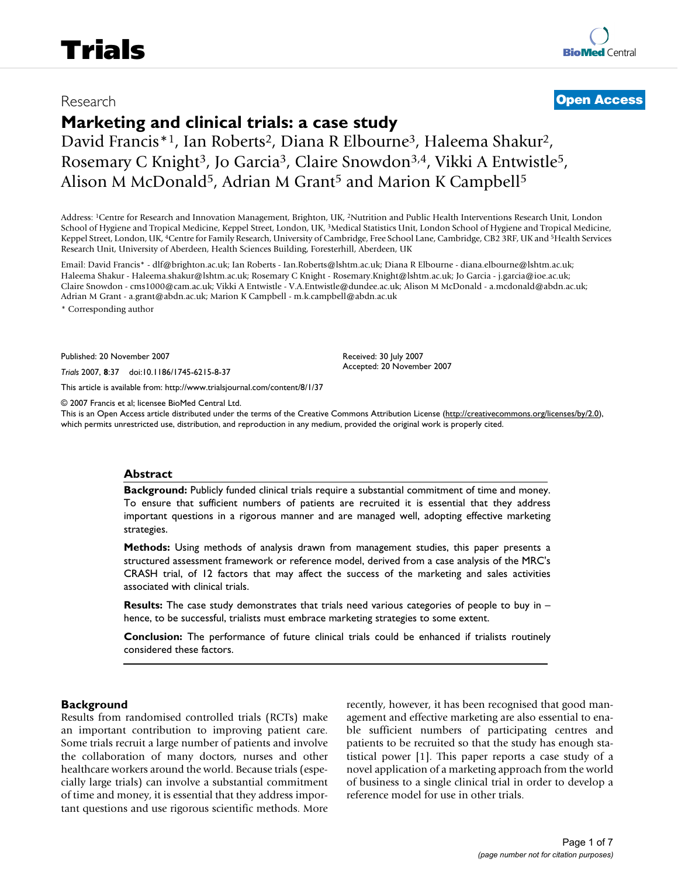## Research **[Open Access](http://www.biomedcentral.com/info/about/charter/)**

# **Marketing and clinical trials: a case study**

David Francis\*1, Ian Roberts2, Diana R Elbourne3, Haleema Shakur2, Rosemary C Knight<sup>3</sup>, Jo Garcia<sup>3</sup>, Claire Snowdon<sup>3,4</sup>, Vikki A Entwistle<sup>5</sup>, Alison M McDonald<sup>5</sup>, Adrian M Grant<sup>5</sup> and Marion K Campbell<sup>5</sup>

Address: 1Centre for Research and Innovation Management, Brighton, UK, 2Nutrition and Public Health Interventions Research Unit, London School of Hygiene and Tropical Medicine, Keppel Street, London, UK, 3Medical Statistics Unit, London School of Hygiene and Tropical Medicine, Keppel Street, London, UK, 4Centre for Family Research, University of Cambridge, Free School Lane, Cambridge, CB2 3RF, UK and 5Health Services Research Unit, University of Aberdeen, Health Sciences Building, Foresterhill, Aberdeen, UK

Email: David Francis\* - dlf@brighton.ac.uk; Ian Roberts - Ian.Roberts@lshtm.ac.uk; Diana R Elbourne - diana.elbourne@lshtm.ac.uk; Haleema Shakur - Haleema.shakur@lshtm.ac.uk; Rosemary C Knight - Rosemary.Knight@lshtm.ac.uk; Jo Garcia - j.garcia@ioe.ac.uk; Claire Snowdon - cms1000@cam.ac.uk; Vikki A Entwistle - V.A.Entwistle@dundee.ac.uk; Alison M McDonald - a.mcdonald@abdn.ac.uk; Adrian M Grant - a.grant@abdn.ac.uk; Marion K Campbell - m.k.campbell@abdn.ac.uk

\* Corresponding author

Published: 20 November 2007

*Trials* 2007, **8**:37 doi:10.1186/1745-6215-8-37

[This article is available from: http://www.trialsjournal.com/content/8/1/37](http://www.trialsjournal.com/content/8/1/37)

© 2007 Francis et al; licensee BioMed Central Ltd.

This is an Open Access article distributed under the terms of the Creative Commons Attribution License [\(http://creativecommons.org/licenses/by/2.0\)](http://creativecommons.org/licenses/by/2.0), which permits unrestricted use, distribution, and reproduction in any medium, provided the original work is properly cited.

Received: 30 July 2007 Accepted: 20 November 2007

#### **Abstract**

**Background:** Publicly funded clinical trials require a substantial commitment of time and money. To ensure that sufficient numbers of patients are recruited it is essential that they address important questions in a rigorous manner and are managed well, adopting effective marketing strategies.

**Methods:** Using methods of analysis drawn from management studies, this paper presents a structured assessment framework or reference model, derived from a case analysis of the MRC's CRASH trial, of 12 factors that may affect the success of the marketing and sales activities associated with clinical trials.

**Results:** The case study demonstrates that trials need various categories of people to buy in – hence, to be successful, trialists must embrace marketing strategies to some extent.

**Conclusion:** The performance of future clinical trials could be enhanced if trialists routinely considered these factors.

#### **Background**

Results from randomised controlled trials (RCTs) make an important contribution to improving patient care. Some trials recruit a large number of patients and involve the collaboration of many doctors, nurses and other healthcare workers around the world. Because trials (especially large trials) can involve a substantial commitment of time and money, it is essential that they address important questions and use rigorous scientific methods. More recently, however, it has been recognised that good management and effective marketing are also essential to enable sufficient numbers of participating centres and patients to be recruited so that the study has enough statistical power [1]. This paper reports a case study of a novel application of a marketing approach from the world of business to a single clinical trial in order to develop a reference model for use in other trials.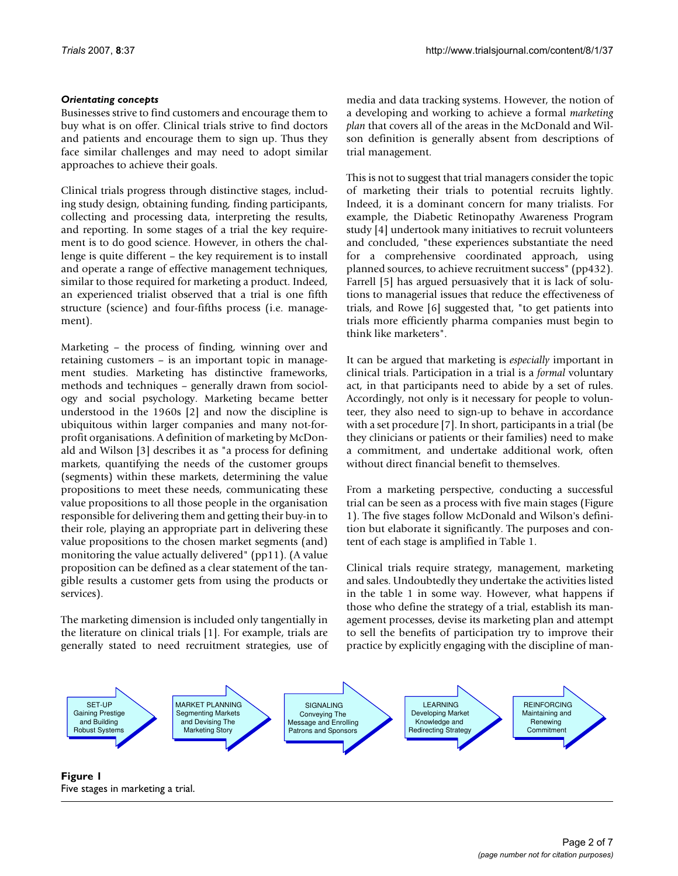#### *Orientating concepts*

Businesses strive to find customers and encourage them to buy what is on offer. Clinical trials strive to find doctors and patients and encourage them to sign up. Thus they face similar challenges and may need to adopt similar approaches to achieve their goals.

Clinical trials progress through distinctive stages, including study design, obtaining funding, finding participants, collecting and processing data, interpreting the results, and reporting. In some stages of a trial the key requirement is to do good science. However, in others the challenge is quite different – the key requirement is to install and operate a range of effective management techniques, similar to those required for marketing a product. Indeed, an experienced trialist observed that a trial is one fifth structure (science) and four-fifths process (i.e. management).

Marketing – the process of finding, winning over and retaining customers – is an important topic in management studies. Marketing has distinctive frameworks, methods and techniques – generally drawn from sociology and social psychology. Marketing became better understood in the 1960s [2] and now the discipline is ubiquitous within larger companies and many not-forprofit organisations. A definition of marketing by McDonald and Wilson [3] describes it as "a process for defining markets, quantifying the needs of the customer groups (segments) within these markets, determining the value propositions to meet these needs, communicating these value propositions to all those people in the organisation responsible for delivering them and getting their buy-in to their role, playing an appropriate part in delivering these value propositions to the chosen market segments (and) monitoring the value actually delivered" (pp11). (A value proposition can be defined as a clear statement of the tangible results a customer gets from using the products or services).

The marketing dimension is included only tangentially in the literature on clinical trials [1]. For example, trials are generally stated to need recruitment strategies, use of media and data tracking systems. However, the notion of a developing and working to achieve a formal *marketing plan* that covers all of the areas in the McDonald and Wilson definition is generally absent from descriptions of trial management.

This is not to suggest that trial managers consider the topic of marketing their trials to potential recruits lightly. Indeed, it is a dominant concern for many trialists. For example, the Diabetic Retinopathy Awareness Program study [4] undertook many initiatives to recruit volunteers and concluded, "these experiences substantiate the need for a comprehensive coordinated approach, using planned sources, to achieve recruitment success" (pp432). Farrell [5] has argued persuasively that it is lack of solutions to managerial issues that reduce the effectiveness of trials, and Rowe [6] suggested that, "to get patients into trials more efficiently pharma companies must begin to think like marketers".

It can be argued that marketing is *especially* important in clinical trials. Participation in a trial is a *formal* voluntary act, in that participants need to abide by a set of rules. Accordingly, not only is it necessary for people to volunteer, they also need to sign-up to behave in accordance with a set procedure [7]. In short, participants in a trial (be they clinicians or patients or their families) need to make a commitment, and undertake additional work, often without direct financial benefit to themselves.

From a marketing perspective, conducting a successful trial can be seen as a process with five main stages (Figure 1). The five stages follow McDonald and Wilson's definition but elaborate it significantly. The purposes and content of each stage is amplified in Table 1.

Clinical trials require strategy, management, marketing and sales. Undoubtedly they undertake the activities listed in the table 1 in some way. However, what happens if those who define the strategy of a trial, establish its management processes, devise its marketing plan and attempt to sell the benefits of participation try to improve their practice by explicitly engaging with the discipline of man-



Five stages in marketing a trial.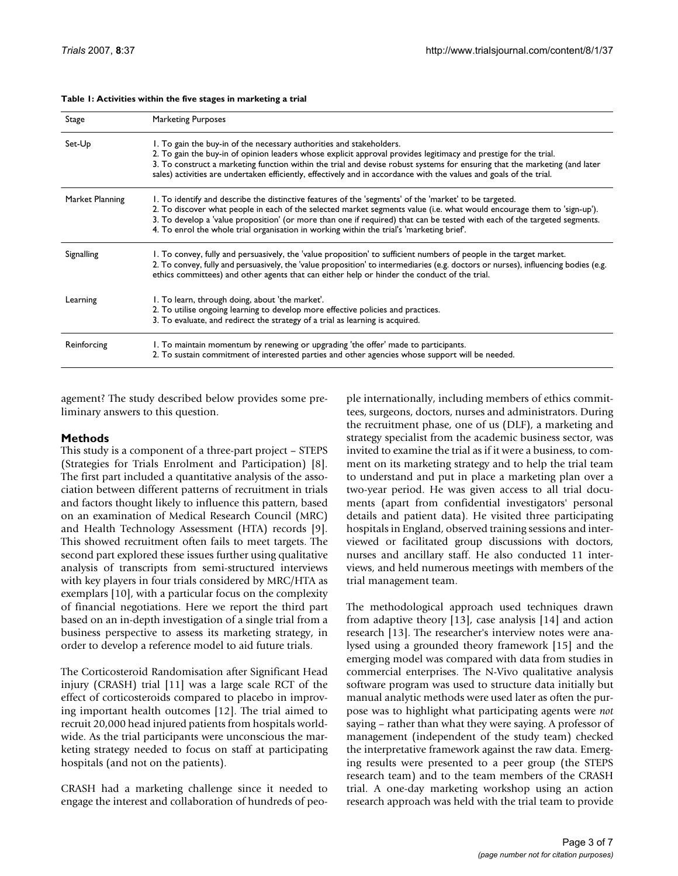| Stage           | <b>Marketing Purposes</b>                                                                                                                                                                                                                                                                                                                                                                                                                                   |
|-----------------|-------------------------------------------------------------------------------------------------------------------------------------------------------------------------------------------------------------------------------------------------------------------------------------------------------------------------------------------------------------------------------------------------------------------------------------------------------------|
| Set-Up          | 1. To gain the buy-in of the necessary authorities and stakeholders.<br>2. To gain the buy-in of opinion leaders whose explicit approval provides legitimacy and prestige for the trial.<br>3. To construct a marketing function within the trial and devise robust systems for ensuring that the marketing (and later<br>sales) activities are undertaken efficiently, effectively and in accordance with the values and goals of the trial.               |
| Market Planning | I. To identify and describe the distinctive features of the 'segments' of the 'market' to be targeted.<br>2. To discover what people in each of the selected market segments value (i.e. what would encourage them to 'sign-up').<br>3. To develop a 'value proposition' (or more than one if required) that can be tested with each of the targeted segments.<br>4. To enrol the whole trial organisation in working within the trial's 'marketing brief'. |
| Signalling      | I. To convey, fully and persuasively, the 'value proposition' to sufficient numbers of people in the target market.<br>2. To convey, fully and persuasively, the 'value proposition' to intermediaries (e.g. doctors or nurses), influencing bodies (e.g.<br>ethics committees) and other agents that can either help or hinder the conduct of the trial.                                                                                                   |
| Learning        | 1. To learn, through doing, about 'the market'.<br>2. To utilise ongoing learning to develop more effective policies and practices.<br>3. To evaluate, and redirect the strategy of a trial as learning is acquired.                                                                                                                                                                                                                                        |
| Reinforcing     | I. To maintain momentum by renewing or upgrading 'the offer' made to participants.<br>2. To sustain commitment of interested parties and other agencies whose support will be needed.                                                                                                                                                                                                                                                                       |

#### **Table 1: Activities within the five stages in marketing a trial**

agement? The study described below provides some preliminary answers to this question.

#### **Methods**

This study is a component of a three-part project – STEPS (Strategies for Trials Enrolment and Participation) [8]. The first part included a quantitative analysis of the association between different patterns of recruitment in trials and factors thought likely to influence this pattern, based on an examination of Medical Research Council (MRC) and Health Technology Assessment (HTA) records [9]. This showed recruitment often fails to meet targets. The second part explored these issues further using qualitative analysis of transcripts from semi-structured interviews with key players in four trials considered by MRC/HTA as exemplars [10], with a particular focus on the complexity of financial negotiations. Here we report the third part based on an in-depth investigation of a single trial from a business perspective to assess its marketing strategy, in order to develop a reference model to aid future trials.

The Corticosteroid Randomisation after Significant Head injury (CRASH) trial [11] was a large scale RCT of the effect of corticosteroids compared to placebo in improving important health outcomes [12]. The trial aimed to recruit 20,000 head injured patients from hospitals worldwide. As the trial participants were unconscious the marketing strategy needed to focus on staff at participating hospitals (and not on the patients).

CRASH had a marketing challenge since it needed to engage the interest and collaboration of hundreds of people internationally, including members of ethics committees, surgeons, doctors, nurses and administrators. During the recruitment phase, one of us (DLF), a marketing and strategy specialist from the academic business sector, was invited to examine the trial as if it were a business, to comment on its marketing strategy and to help the trial team to understand and put in place a marketing plan over a two-year period. He was given access to all trial documents (apart from confidential investigators' personal details and patient data). He visited three participating hospitals in England, observed training sessions and interviewed or facilitated group discussions with doctors, nurses and ancillary staff. He also conducted 11 interviews, and held numerous meetings with members of the trial management team.

The methodological approach used techniques drawn from adaptive theory [13], case analysis [14] and action research [13]. The researcher's interview notes were analysed using a grounded theory framework [15] and the emerging model was compared with data from studies in commercial enterprises. The N-Vivo qualitative analysis software program was used to structure data initially but manual analytic methods were used later as often the purpose was to highlight what participating agents were *not* saying – rather than what they were saying. A professor of management (independent of the study team) checked the interpretative framework against the raw data. Emerging results were presented to a peer group (the STEPS research team) and to the team members of the CRASH trial. A one-day marketing workshop using an action research approach was held with the trial team to provide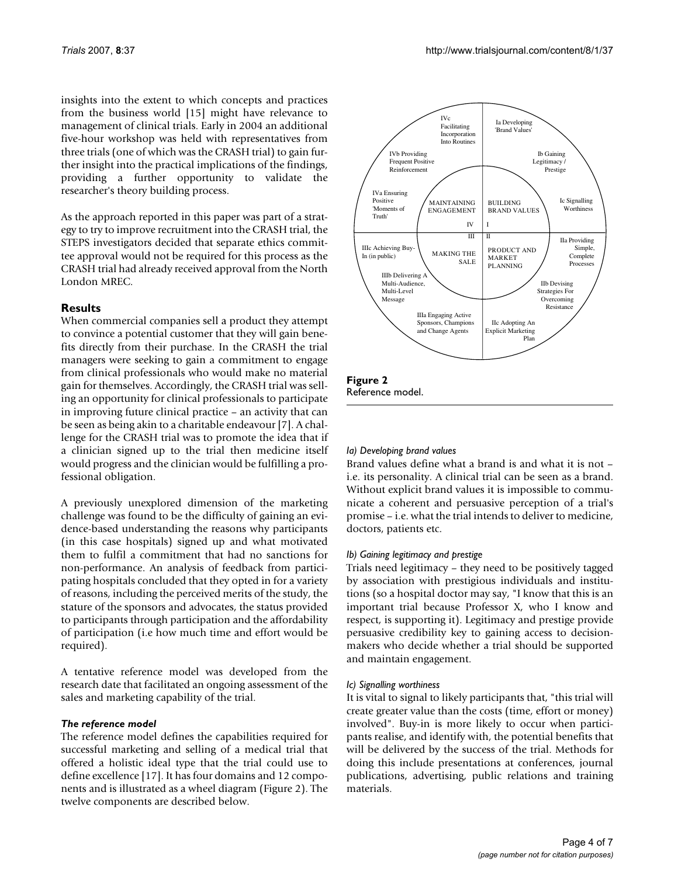insights into the extent to which concepts and practices from the business world [15] might have relevance to management of clinical trials. Early in 2004 an additional five-hour workshop was held with representatives from three trials (one of which was the CRASH trial) to gain further insight into the practical implications of the findings, providing a further opportunity to validate the researcher's theory building process.

As the approach reported in this paper was part of a strategy to try to improve recruitment into the CRASH trial, the STEPS investigators decided that separate ethics committee approval would not be required for this process as the CRASH trial had already received approval from the North London MREC.

### **Results**

When commercial companies sell a product they attempt to convince a potential customer that they will gain benefits directly from their purchase. In the CRASH the trial managers were seeking to gain a commitment to engage from clinical professionals who would make no material gain for themselves. Accordingly, the CRASH trial was selling an opportunity for clinical professionals to participate in improving future clinical practice – an activity that can be seen as being akin to a charitable endeavour [7]. A challenge for the CRASH trial was to promote the idea that if a clinician signed up to the trial then medicine itself would progress and the clinician would be fulfilling a professional obligation.

A previously unexplored dimension of the marketing challenge was found to be the difficulty of gaining an evidence-based understanding the reasons why participants (in this case hospitals) signed up and what motivated them to fulfil a commitment that had no sanctions for non-performance. An analysis of feedback from participating hospitals concluded that they opted in for a variety of reasons, including the perceived merits of the study, the stature of the sponsors and advocates, the status provided to participants through participation and the affordability of participation (i.e how much time and effort would be required).

A tentative reference model was developed from the research date that facilitated an ongoing assessment of the sales and marketing capability of the trial.

#### *The reference model*

The reference model defines the capabilities required for successful marketing and selling of a medical trial that offered a holistic ideal type that the trial could use to define excellence [17]. It has four domains and 12 components and is illustrated as a wheel diagram (Figure 2). The twelve components are described below.



#### *Ia) Developing brand values*

Brand values define what a brand is and what it is not – i.e. its personality. A clinical trial can be seen as a brand. Without explicit brand values it is impossible to communicate a coherent and persuasive perception of a trial's promise – i.e. what the trial intends to deliver to medicine, doctors, patients etc.

#### *Ib) Gaining legitimacy and prestige*

Trials need legitimacy – they need to be positively tagged by association with prestigious individuals and institutions (so a hospital doctor may say, "I know that this is an important trial because Professor X, who I know and respect, is supporting it). Legitimacy and prestige provide persuasive credibility key to gaining access to decisionmakers who decide whether a trial should be supported and maintain engagement.

#### *Ic) Signalling worthiness*

It is vital to signal to likely participants that, "this trial will create greater value than the costs (time, effort or money) involved". Buy-in is more likely to occur when participants realise, and identify with, the potential benefits that will be delivered by the success of the trial. Methods for doing this include presentations at conferences, journal publications, advertising, public relations and training materials.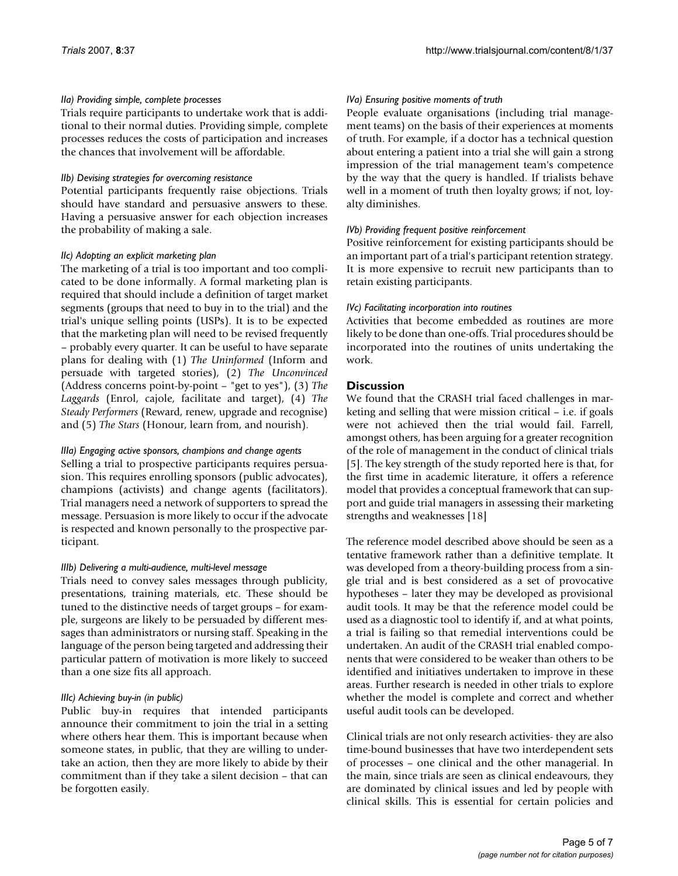#### *IIa) Providing simple, complete processes*

Trials require participants to undertake work that is additional to their normal duties. Providing simple, complete processes reduces the costs of participation and increases the chances that involvement will be affordable.

#### *IIb) Devising strategies for overcoming resistance*

Potential participants frequently raise objections. Trials should have standard and persuasive answers to these. Having a persuasive answer for each objection increases the probability of making a sale.

#### *IIc) Adopting an explicit marketing plan*

The marketing of a trial is too important and too complicated to be done informally. A formal marketing plan is required that should include a definition of target market segments (groups that need to buy in to the trial) and the trial's unique selling points (USPs). It is to be expected that the marketing plan will need to be revised frequently – probably every quarter. It can be useful to have separate plans for dealing with (1) *The Uninformed* (Inform and persuade with targeted stories), (2) *The Unconvinced* (Address concerns point-by-point – "get to yes"), (3) *The Laggards* (Enrol, cajole, facilitate and target), (4) *The Steady Performers* (Reward, renew, upgrade and recognise) and (5) *The Stars* (Honour, learn from, and nourish).

#### *IIIa) Engaging active sponsors, champions and change agents*

Selling a trial to prospective participants requires persuasion. This requires enrolling sponsors (public advocates), champions (activists) and change agents (facilitators). Trial managers need a network of supporters to spread the message. Persuasion is more likely to occur if the advocate is respected and known personally to the prospective participant.

#### *IIIb) Delivering a multi-audience, multi-level message*

Trials need to convey sales messages through publicity, presentations, training materials, etc. These should be tuned to the distinctive needs of target groups – for example, surgeons are likely to be persuaded by different messages than administrators or nursing staff. Speaking in the language of the person being targeted and addressing their particular pattern of motivation is more likely to succeed than a one size fits all approach.

#### *IIIc) Achieving buy-in (in public)*

Public buy-in requires that intended participants announce their commitment to join the trial in a setting where others hear them. This is important because when someone states, in public, that they are willing to undertake an action, then they are more likely to abide by their commitment than if they take a silent decision – that can be forgotten easily.

#### *IVa) Ensuring positive moments of truth*

People evaluate organisations (including trial management teams) on the basis of their experiences at moments of truth. For example, if a doctor has a technical question about entering a patient into a trial she will gain a strong impression of the trial management team's competence by the way that the query is handled. If trialists behave well in a moment of truth then loyalty grows; if not, loyalty diminishes.

#### *IVb) Providing frequent positive reinforcement*

Positive reinforcement for existing participants should be an important part of a trial's participant retention strategy. It is more expensive to recruit new participants than to retain existing participants.

#### *IVc) Facilitating incorporation into routines*

Activities that become embedded as routines are more likely to be done than one-offs. Trial procedures should be incorporated into the routines of units undertaking the work.

### **Discussion**

We found that the CRASH trial faced challenges in marketing and selling that were mission critical – i.e. if goals were not achieved then the trial would fail. Farrell, amongst others, has been arguing for a greater recognition of the role of management in the conduct of clinical trials [5]. The key strength of the study reported here is that, for the first time in academic literature, it offers a reference model that provides a conceptual framework that can support and guide trial managers in assessing their marketing strengths and weaknesses [18]

The reference model described above should be seen as a tentative framework rather than a definitive template. It was developed from a theory-building process from a single trial and is best considered as a set of provocative hypotheses – later they may be developed as provisional audit tools. It may be that the reference model could be used as a diagnostic tool to identify if, and at what points, a trial is failing so that remedial interventions could be undertaken. An audit of the CRASH trial enabled components that were considered to be weaker than others to be identified and initiatives undertaken to improve in these areas. Further research is needed in other trials to explore whether the model is complete and correct and whether useful audit tools can be developed.

Clinical trials are not only research activities- they are also time-bound businesses that have two interdependent sets of processes – one clinical and the other managerial. In the main, since trials are seen as clinical endeavours, they are dominated by clinical issues and led by people with clinical skills. This is essential for certain policies and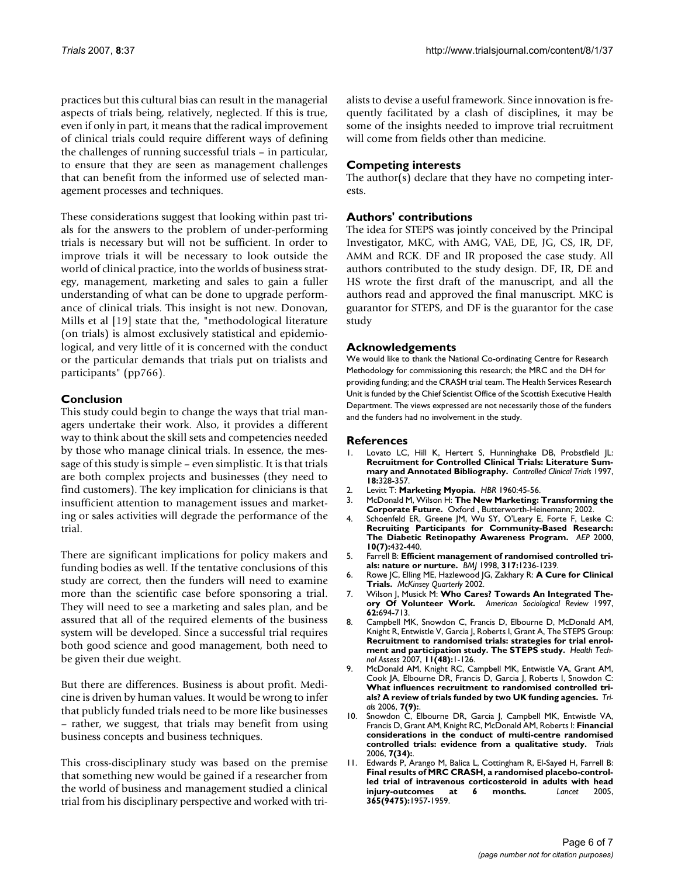practices but this cultural bias can result in the managerial aspects of trials being, relatively, neglected. If this is true, even if only in part, it means that the radical improvement of clinical trials could require different ways of defining the challenges of running successful trials – in particular, to ensure that they are seen as management challenges that can benefit from the informed use of selected management processes and techniques.

These considerations suggest that looking within past trials for the answers to the problem of under-performing trials is necessary but will not be sufficient. In order to improve trials it will be necessary to look outside the world of clinical practice, into the worlds of business strategy, management, marketing and sales to gain a fuller understanding of what can be done to upgrade performance of clinical trials. This insight is not new. Donovan, Mills et al [19] state that the, "methodological literature (on trials) is almost exclusively statistical and epidemiological, and very little of it is concerned with the conduct or the particular demands that trials put on trialists and participants" (pp766).

#### **Conclusion**

This study could begin to change the ways that trial managers undertake their work. Also, it provides a different way to think about the skill sets and competencies needed by those who manage clinical trials. In essence, the message of this study is simple – even simplistic. It is that trials are both complex projects and businesses (they need to find customers). The key implication for clinicians is that insufficient attention to management issues and marketing or sales activities will degrade the performance of the trial.

There are significant implications for policy makers and funding bodies as well. If the tentative conclusions of this study are correct, then the funders will need to examine more than the scientific case before sponsoring a trial. They will need to see a marketing and sales plan, and be assured that all of the required elements of the business system will be developed. Since a successful trial requires both good science and good management, both need to be given their due weight.

But there are differences. Business is about profit. Medicine is driven by human values. It would be wrong to infer that publicly funded trials need to be more like businesses – rather, we suggest, that trials may benefit from using business concepts and business techniques.

This cross-disciplinary study was based on the premise that something new would be gained if a researcher from the world of business and management studied a clinical trial from his disciplinary perspective and worked with trialists to devise a useful framework. Since innovation is frequently facilitated by a clash of disciplines, it may be some of the insights needed to improve trial recruitment will come from fields other than medicine.

#### **Competing interests**

The author(s) declare that they have no competing interests.

#### **Authors' contributions**

The idea for STEPS was jointly conceived by the Principal Investigator, MKC, with AMG, VAE, DE, JG, CS, IR, DF, AMM and RCK. DF and IR proposed the case study. All authors contributed to the study design. DF, IR, DE and HS wrote the first draft of the manuscript, and all the authors read and approved the final manuscript. MKC is guarantor for STEPS, and DF is the guarantor for the case study

#### **Acknowledgements**

We would like to thank the National Co-ordinating Centre for Research Methodology for commissioning this research; the MRC and the DH for providing funding; and the CRASH trial team. The Health Services Research Unit is funded by the Chief Scientist Office of the Scottish Executive Health Department. The views expressed are not necessarily those of the funders and the funders had no involvement in the study.

#### **References**

- Lovato LC, Hill K, Hertert S, Hunninghake DB, Probstfield |L: **[Recruitment for Controlled Clinical Trials: Literature Sum](http://www.ncbi.nlm.nih.gov/entrez/query.fcgi?cmd=Retrieve&db=PubMed&dopt=Abstract&list_uids=9257072)[mary and Annotated Bibliography.](http://www.ncbi.nlm.nih.gov/entrez/query.fcgi?cmd=Retrieve&db=PubMed&dopt=Abstract&list_uids=9257072)** *Controlled Clinical Trials* 1997, **18:**328-357.
- 2. Levitt T: **Marketing Myopia.** *HBR* 1960:45-56.
- 3. McDonald M, Wilson H: **The New Marketing: Transforming the Corporate Future.** Oxford , Butterworth-Heinemann; 2002.
- 4. Schoenfeld ER, Greene JM, Wu SY, O'Leary E, Forte F, Leske C: **[Recruiting Participants for Community-Based Research:](http://www.ncbi.nlm.nih.gov/entrez/query.fcgi?cmd=Retrieve&db=PubMed&dopt=Abstract&list_uids=11023622) [The Diabetic Retinopathy Awareness Program.](http://www.ncbi.nlm.nih.gov/entrez/query.fcgi?cmd=Retrieve&db=PubMed&dopt=Abstract&list_uids=11023622)** *AEP* 2000, **10(7):**432-440.
- 5. Farrell B: **[Efficient management of randomised controlled tri](http://www.ncbi.nlm.nih.gov/entrez/query.fcgi?cmd=Retrieve&db=PubMed&dopt=Abstract&list_uids=9794870)[als: nature or nurture.](http://www.ncbi.nlm.nih.gov/entrez/query.fcgi?cmd=Retrieve&db=PubMed&dopt=Abstract&list_uids=9794870)** *BMJ* 1998, **317:**1236-1239.
- 6. Rowe JC, Elling ME, Hazlewood JG, Zakhary R: **A Cure for Clinical Trials.** *McKinsey Quarterly* 2002.
- 7. Wilson J, Musick M: **Who Cares? Towards An Integrated Theory Of Volunteer Work.** *American Sociological Review* 1997, **62:**694-713.
- 8. Campbell MK, Snowdon C, Francis D, Elbourne D, McDonald AM, Knight R, Entwistle V, Garcia J, Roberts I, Grant A, The STEPS Group: **[Recruitment to randomised trials: strategies for trial enrol](http://www.ncbi.nlm.nih.gov/entrez/query.fcgi?cmd=Retrieve&db=PubMed&dopt=Abstract&list_uids=17999843)[ment and participation study. The STEPS study.](http://www.ncbi.nlm.nih.gov/entrez/query.fcgi?cmd=Retrieve&db=PubMed&dopt=Abstract&list_uids=17999843)** *Health Technol Assess* 2007, **11(48):**1-126.
- 9. McDonald AM, Knight RC, Campbell MK, Entwistle VA, Grant AM, Cook JA, Elbourne DR, Francis D, Garcia J, Roberts I, Snowdon C: **What influences recruitment to randomised controlled trials? A review of trials funded by two UK funding agencies.** *Trials* 2006, **7(9):**.
- 10. Snowdon C, Elbourne DR, Garcia J, Campbell MK, Entwistle VA, Francis D, Grant AM, Knight RC, McDonald AM, Roberts I: **[Financial](http://www.ncbi.nlm.nih.gov/entrez/query.fcgi?cmd=Retrieve&db=PubMed&dopt=Abstract&list_uids=17184521) [considerations in the conduct of multi-centre randomised](http://www.ncbi.nlm.nih.gov/entrez/query.fcgi?cmd=Retrieve&db=PubMed&dopt=Abstract&list_uids=17184521) [controlled trials: evidence from a qualitative study.](http://www.ncbi.nlm.nih.gov/entrez/query.fcgi?cmd=Retrieve&db=PubMed&dopt=Abstract&list_uids=17184521)** *Trials* 2006, **7(34):**.
- 11. Edwards P, Arango M, Balica L, Cottingham R, El-Sayed H, Farrell B: **Final results of MRC CRASH, a randomised placebo-control[led trial of intravenous corticosteroid in adults with head](http://www.ncbi.nlm.nih.gov/entrez/query.fcgi?cmd=Retrieve&db=PubMed&dopt=Abstract&list_uids=15936423) [injury-outcomes at 6 months.](http://www.ncbi.nlm.nih.gov/entrez/query.fcgi?cmd=Retrieve&db=PubMed&dopt=Abstract&list_uids=15936423)** *Lancet* 2005, **365(9475):**1957-1959.